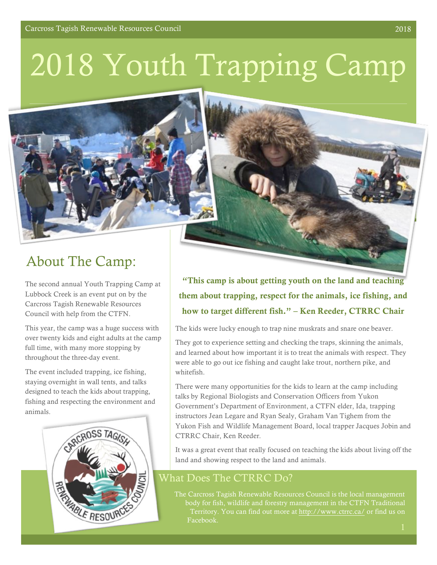## 2018 Youth Trapping Camp



## About The Camp:

The second annual Youth Trapping Camp at Lubbock Creek is an event put on by the Carcross Tagish Renewable Resources Council with help from the CTFN.

This year, the camp was a huge success with over twenty kids and eight adults at the camp full time, with many more stopping by throughout the three-day event.

The event included trapping, ice fishing, staying overnight in wall tents, and talks designed to teach the kids about trapping, fishing and respecting the environment and animals.



"This camp is about getting youth on the land and teaching them about trapping, respect for the animals, ice fishing, and how to target different fish." – Ken Reeder, CTRRC Chair

The kids were lucky enough to trap nine muskrats and snare one beaver.

They got to experience setting and checking the traps, skinning the animals, and learned about how important it is to treat the animals with respect. They were able to go out ice fishing and caught lake trout, northern pike, and whitefish.

There were many opportunities for the kids to learn at the camp including talks by Regional Biologists and Conservation Officers from Yukon Government's Department of Environment, a CTFN elder, Ida, trapping instructors Jean Legare and Ryan Sealy, Graham Van Tighem from the Yukon Fish and Wildlife Management Board, local trapper Jacques Jobin and CTRRC Chair, Ken Reeder.

It was a great event that really focused on teaching the kids about living off the land and showing respect to the land and animals.

## What Does The CTRRC Do?

The Carcross Tagish Renewable Resources Council is the local management body for fish, wildlife and forestry management in the CTFN Traditional Territory. You can find out more at http://www.ctrrc.ca/ or find us on Facebook.